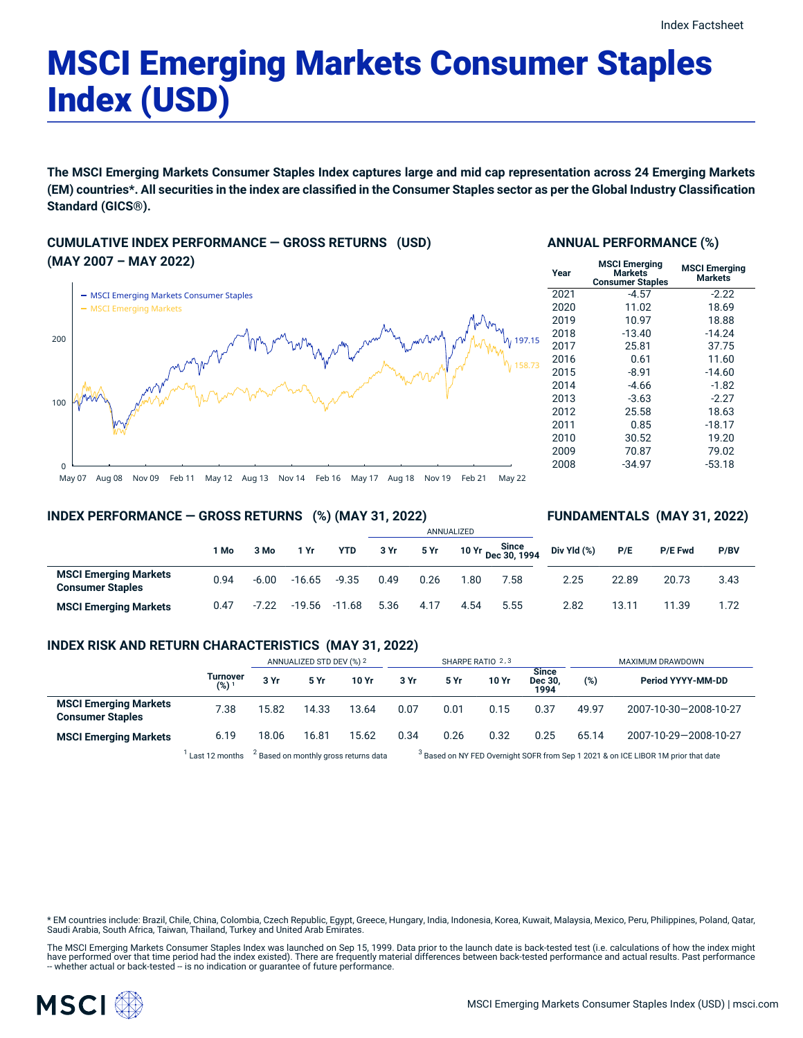# MSCI Emerging Markets Consumer Staples Index (USD)

The MSCI Emerging Markets Consumer Staples Index captures large and mid cap representation across 24 Emerging Markets (EM) countries\*. All securities in the index are classified in the Consumer Staples sector as per the Global Industry Classification **Standard (GICS®).**

# **CUMULATIVE INDEX PERFORMANCE — GROSS RETURNS (USD) (MAY 2007 – MAY 2022)**



#### **ANNUAL PERFORMANCE (%)**

| Year | <b>MSCI Emerging</b><br><b>Markets</b><br><b>Consumer Staples</b> | <b>MSCI Emerging</b><br><b>Markets</b> |
|------|-------------------------------------------------------------------|----------------------------------------|
| 2021 | $-4.57$                                                           | $-2.22$                                |
| 2020 | 11.02                                                             | 18.69                                  |
| 2019 | 10.97                                                             | 18.88                                  |
| 2018 | $-13.40$                                                          | $-14.24$                               |
| 2017 | 25.81                                                             | 37.75                                  |
| 2016 | 0.61                                                              | 11.60                                  |
| 2015 | $-8.91$                                                           | $-14.60$                               |
| 2014 | $-4.66$                                                           | $-1.82$                                |
| 2013 | $-3.63$                                                           | $-2.27$                                |
| 2012 | 25.58                                                             | 18.63                                  |
| 2011 | 0.85                                                              | $-18.17$                               |
| 2010 | 30.52                                                             | 19.20                                  |
| 2009 | 70.87                                                             | 79.02                                  |
| 2008 | -34.97                                                            | -53.18                                 |
|      |                                                                   |                                        |

**FUNDAMENTALS (MAY 31, 2022)**

#### **INDEX PERFORMANCE — GROSS RETURNS (%) (MAY 31, 2022)**

#### ANNUALIZED **1 Mo 3 Mo 1 Yr YTD 3 Yr 5 Yr 10 Yr Since Dec 30, 1994 MSCI Emerging Markets Consumer Staples** 0.94 -6.00 -16.65 -9.35 0.49 0.26 1.80 7.58 **MSCI Emerging Markets** 0.47 -7.22 -19.56 -11.68 5.36 4.17 4.54 5.55 **Div Yld (%) P/E P/E Fwd P/BV** 2.25 22.89 20.73 3.43 2.82 13.11 11.39 1.72

### **INDEX RISK AND RETURN CHARACTERISTICS (MAY 31, 2022)**

|                                                         |                     | ANNUALIZED STD DEV (%) 2                         |       | SHARPE RATIO 2,3 |      |      |       | MAXIMUM DRAWDOWN                                                                              |        |                       |
|---------------------------------------------------------|---------------------|--------------------------------------------------|-------|------------------|------|------|-------|-----------------------------------------------------------------------------------------------|--------|-----------------------|
|                                                         | Turnover<br>$(%)^1$ | 3 Yr                                             | 5 Yr  | 10 Yr            | 3 Yr | 5 Yr | 10 Yr | <b>Since</b><br>Dec 30.<br>1994                                                               | $(\%)$ | Period YYYY-MM-DD     |
| <b>MSCI Emerging Markets</b><br><b>Consumer Staples</b> | 7.38                | 15.82                                            | 14.33 | 13.64            | 0.07 | 0.01 | 0.15  | 0.37                                                                                          | 49.97  | 2007-10-30-2008-10-27 |
| <b>MSCI Emerging Markets</b>                            | 6.19                | 18.06                                            | 16.81 | 15.62            | 0.34 | 0.26 | 0.32  | 0.25                                                                                          | 65.14  | 2007-10-29-2008-10-27 |
|                                                         | Last 12 months      | <sup>2</sup> Based on monthly gross returns data |       |                  |      |      |       | <sup>3</sup> Based on NY FED Overnight SOFR from Sep 1 2021 & on ICE LIBOR 1M prior that date |        |                       |

\* EM countries include: Brazil, Chile, China, Colombia, Czech Republic, Egypt, Greece, Hungary, India, Indonesia, Korea, Kuwait, Malaysia, Mexico, Peru, Philippines, Poland, Qatar, Saudi Arabia, South Africa, Taiwan, Thailand, Turkey and United Arab Emirates.

The MSCI Emerging Markets Consumer Staples Index was launched on Sep 15, 1999. Data prior to the launch date is back-tested test (i.e. calculations of how the index might<br>have performed over that time period had the index

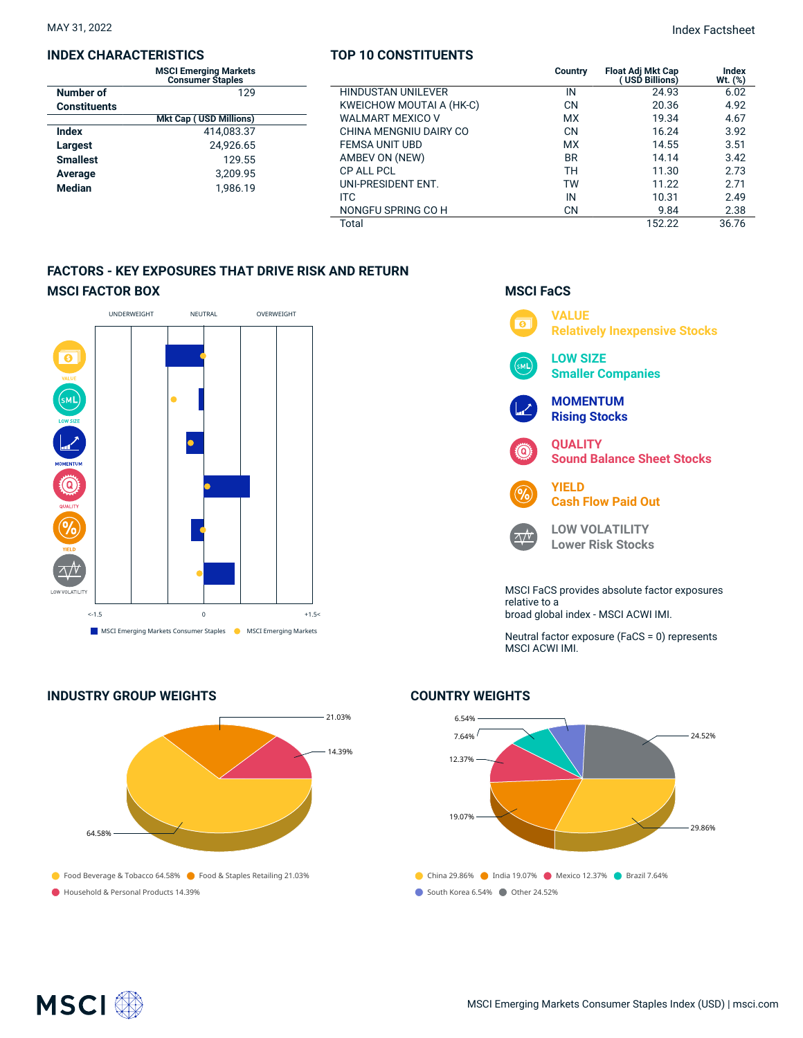#### **INDEX CHARACTERISTICS**

|                     | <b>MSCI Emerging Markets</b><br><b>Consumer Staples</b> |  |
|---------------------|---------------------------------------------------------|--|
| Number of           | 129                                                     |  |
| <b>Constituents</b> |                                                         |  |
|                     | <b>Mkt Cap (USD Millions)</b>                           |  |
| Index               | 414.083.37                                              |  |
| Largest             | 24,926.65                                               |  |
| <b>Smallest</b>     | 129.55                                                  |  |
| Average             | 3,209.95                                                |  |
| <b>Median</b>       | 1.986.19                                                |  |

#### **TOP 10 CONSTITUENTS**

| aing Markets<br>er Staples |                           | Country   | <b>Float Adj Mkt Cap</b><br>(USD Billions) | Index<br>Wt. (%) |
|----------------------------|---------------------------|-----------|--------------------------------------------|------------------|
| 129                        | <b>HINDUSTAN UNILEVER</b> | IN        | 24.93                                      | 6.02             |
|                            | KWEICHOW MOUTAI A (HK-C)  | CΝ        | 20.36                                      | 4.92             |
| <b>SD Millions)</b>        | <b>WALMART MEXICO V</b>   | <b>MX</b> | 19.34                                      | 4.67             |
| 414,083.37                 | CHINA MENGNIU DAIRY CO    | CΝ        | 16.24                                      | 3.92             |
| 24,926.65                  | <b>FEMSA UNIT UBD</b>     | <b>MX</b> | 14.55                                      | 3.51             |
| 129.55                     | AMBEV ON (NEW)            | <b>BR</b> | 14.14                                      | 3.42             |
| 3.209.95                   | <b>CP ALL PCL</b>         | TН        | 11.30                                      | 2.73             |
| 1.986.19                   | UNI-PRESIDENT ENT.        | <b>TW</b> | 11.22                                      | 2.71             |
|                            | <b>ITC</b>                | IN        | 10.31                                      | 2.49             |
|                            | NONGFU SPRING CO H        | CΝ        | 9.84                                       | 2.38             |
|                            | Total                     |           | 152.22                                     | 36.76            |

## **FACTORS - KEY EXPOSURES THAT DRIVE RISK AND RETURN MSCI FACTOR BOX**



![](_page_1_Figure_8.jpeg)

![](_page_1_Figure_9.jpeg)

Neutral factor exposure (FaCS = 0) represents MSCI ACWI IMI.

### **COUNTRY WEIGHTS**

![](_page_1_Figure_12.jpeg)

![](_page_1_Picture_13.jpeg)